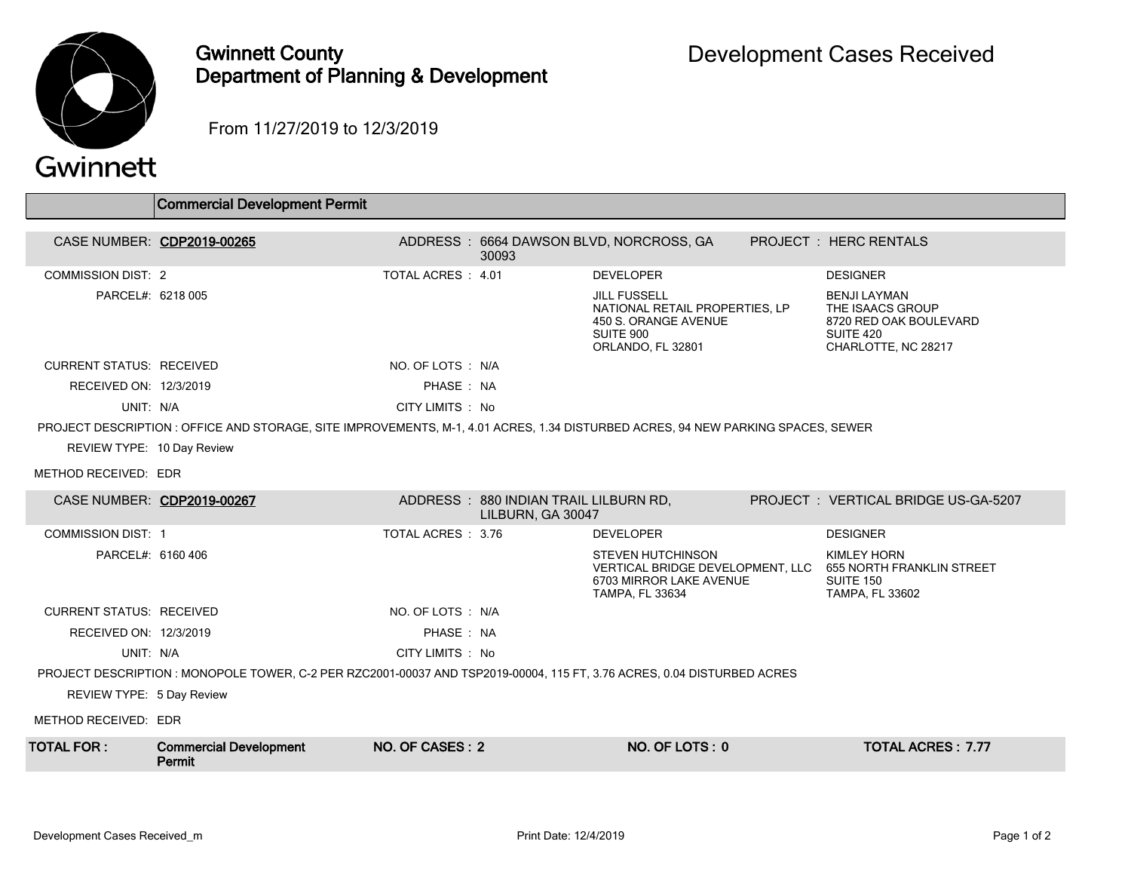

## Gwinnett County Department of Planning & Development

From 11/27/2019 to 12/3/2019

| Gwinnett |  |
|----------|--|
|          |  |

|                                                                                                                                  | <b>Commercial Development Permit</b>    |                   |                                                            |                                                                                                                 |  |                                                                                                                         |  |  |  |
|----------------------------------------------------------------------------------------------------------------------------------|-----------------------------------------|-------------------|------------------------------------------------------------|-----------------------------------------------------------------------------------------------------------------|--|-------------------------------------------------------------------------------------------------------------------------|--|--|--|
|                                                                                                                                  | CASE NUMBER: CDP2019-00265              |                   | 30093                                                      | ADDRESS: 6664 DAWSON BLVD, NORCROSS, GA                                                                         |  | <b>PROJECT: HERC RENTALS</b>                                                                                            |  |  |  |
| <b>COMMISSION DIST: 2</b>                                                                                                        |                                         | TOTAL ACRES: 4.01 |                                                            | <b>DEVELOPER</b>                                                                                                |  | <b>DESIGNER</b>                                                                                                         |  |  |  |
| PARCEL#: 6218 005                                                                                                                |                                         |                   |                                                            | <b>JILL FUSSELL</b><br>NATIONAL RETAIL PROPERTIES. LP<br>450 S. ORANGE AVENUE<br>SUITE 900<br>ORLANDO, FL 32801 |  | <b>BENJI LAYMAN</b><br>THE ISAACS GROUP<br>8720 RED OAK BOULEVARD<br>SUITE 420<br>CHARLOTTE, NC 28217                   |  |  |  |
| <b>CURRENT STATUS: RECEIVED</b>                                                                                                  |                                         | NO. OF LOTS : N/A |                                                            |                                                                                                                 |  |                                                                                                                         |  |  |  |
| RECEIVED ON: 12/3/2019                                                                                                           |                                         | PHASE: NA         |                                                            |                                                                                                                 |  |                                                                                                                         |  |  |  |
| UNIT: N/A                                                                                                                        |                                         | CITY LIMITS : No  |                                                            |                                                                                                                 |  |                                                                                                                         |  |  |  |
| PROJECT DESCRIPTION : OFFICE AND STORAGE, SITE IMPROVEMENTS, M-1, 4.01 ACRES, 1.34 DISTURBED ACRES, 94 NEW PARKING SPACES, SEWER |                                         |                   |                                                            |                                                                                                                 |  |                                                                                                                         |  |  |  |
| REVIEW TYPE: 10 Day Review                                                                                                       |                                         |                   |                                                            |                                                                                                                 |  |                                                                                                                         |  |  |  |
| METHOD RECEIVED: EDR                                                                                                             |                                         |                   |                                                            |                                                                                                                 |  |                                                                                                                         |  |  |  |
| CASE NUMBER: CDP2019-00267                                                                                                       |                                         |                   | ADDRESS: 880 INDIAN TRAIL LILBURN RD,<br>LILBURN, GA 30047 |                                                                                                                 |  | PROJECT: VERTICAL BRIDGE US-GA-5207                                                                                     |  |  |  |
| <b>COMMISSION DIST: 1</b>                                                                                                        |                                         | TOTAL ACRES: 3.76 |                                                            | <b>DEVELOPER</b>                                                                                                |  | <b>DESIGNER</b>                                                                                                         |  |  |  |
| PARCEL#: 6160 406                                                                                                                |                                         |                   |                                                            | <b>STEVEN HUTCHINSON</b><br>6703 MIRROR LAKE AVENUE<br><b>TAMPA, FL 33634</b>                                   |  | <b>KIMLEY HORN</b><br>VERTICAL BRIDGE DEVELOPMENT, LLC 655 NORTH FRANKLIN STREET<br>SUITE 150<br><b>TAMPA, FL 33602</b> |  |  |  |
| <b>CURRENT STATUS: RECEIVED</b>                                                                                                  |                                         | NO. OF LOTS : N/A |                                                            |                                                                                                                 |  |                                                                                                                         |  |  |  |
| RECEIVED ON: 12/3/2019                                                                                                           |                                         | PHASE: NA         |                                                            |                                                                                                                 |  |                                                                                                                         |  |  |  |
| UNIT: N/A                                                                                                                        |                                         | CITY LIMITS : No  |                                                            |                                                                                                                 |  |                                                                                                                         |  |  |  |
| PROJECT DESCRIPTION : MONOPOLE TOWER, C-2 PER RZC2001-00037 AND TSP2019-00004, 115 FT, 3.76 ACRES, 0.04 DISTURBED ACRES          |                                         |                   |                                                            |                                                                                                                 |  |                                                                                                                         |  |  |  |
| REVIEW TYPE: 5 Day Review                                                                                                        |                                         |                   |                                                            |                                                                                                                 |  |                                                                                                                         |  |  |  |
| METHOD RECEIVED: EDR                                                                                                             |                                         |                   |                                                            |                                                                                                                 |  |                                                                                                                         |  |  |  |
| <b>TOTAL FOR:</b>                                                                                                                | <b>Commercial Development</b><br>Permit | NO. OF CASES: 2   |                                                            | NO. OF LOTS: 0                                                                                                  |  | <b>TOTAL ACRES: 7.77</b>                                                                                                |  |  |  |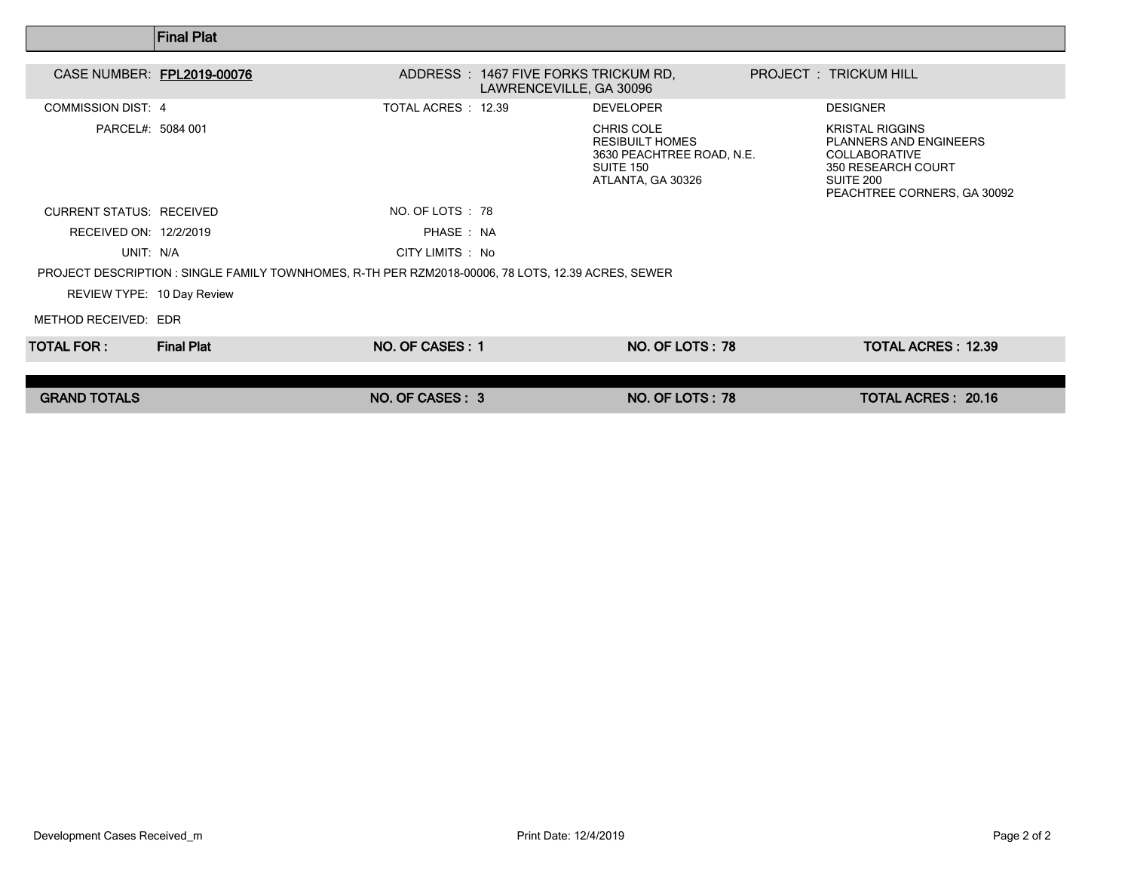|                                                                                                    | <b>Final Plat</b> |                    |                                                                  |                                                                                                     |  |                                                                                                                                                   |  |  |
|----------------------------------------------------------------------------------------------------|-------------------|--------------------|------------------------------------------------------------------|-----------------------------------------------------------------------------------------------------|--|---------------------------------------------------------------------------------------------------------------------------------------------------|--|--|
| CASE NUMBER: FPL2019-00076                                                                         |                   |                    | ADDRESS : 1467 FIVE FORKS TRICKUM RD,<br>LAWRENCEVILLE, GA 30096 |                                                                                                     |  | PROJECT : TRICKUM HILL                                                                                                                            |  |  |
| <b>COMMISSION DIST: 4</b>                                                                          |                   | TOTAL ACRES: 12.39 |                                                                  | <b>DEVELOPER</b>                                                                                    |  | <b>DESIGNER</b>                                                                                                                                   |  |  |
| PARCEL#: 5084 001                                                                                  |                   |                    |                                                                  | CHRIS COLE<br><b>RESIBUILT HOMES</b><br>3630 PEACHTREE ROAD, N.E.<br>SUITE 150<br>ATLANTA, GA 30326 |  | <b>KRISTAL RIGGINS</b><br><b>PLANNERS AND ENGINEERS</b><br><b>COLLABORATIVE</b><br>350 RESEARCH COURT<br>SUITE 200<br>PEACHTREE CORNERS, GA 30092 |  |  |
| <b>CURRENT STATUS: RECEIVED</b>                                                                    |                   | NO. OF LOTS : 78   |                                                                  |                                                                                                     |  |                                                                                                                                                   |  |  |
| RECEIVED ON: 12/2/2019                                                                             |                   | PHASE: NA          |                                                                  |                                                                                                     |  |                                                                                                                                                   |  |  |
| UNIT: N/A                                                                                          |                   | CITY LIMITS : No   |                                                                  |                                                                                                     |  |                                                                                                                                                   |  |  |
| PROJECT DESCRIPTION : SINGLE FAMILY TOWNHOMES, R-TH PER RZM2018-00006, 78 LOTS, 12.39 ACRES, SEWER |                   |                    |                                                                  |                                                                                                     |  |                                                                                                                                                   |  |  |
| REVIEW TYPE: 10 Day Review                                                                         |                   |                    |                                                                  |                                                                                                     |  |                                                                                                                                                   |  |  |
| METHOD RECEIVED: EDR                                                                               |                   |                    |                                                                  |                                                                                                     |  |                                                                                                                                                   |  |  |
| TOTAL FOR :                                                                                        | <b>Final Plat</b> | NO. OF CASES: 1    |                                                                  | NO. OF LOTS: 78                                                                                     |  | <b>TOTAL ACRES: 12.39</b>                                                                                                                         |  |  |
|                                                                                                    |                   |                    |                                                                  |                                                                                                     |  |                                                                                                                                                   |  |  |
| <b>GRAND TOTALS</b>                                                                                |                   | NO. OF CASES: 3    |                                                                  | NO. OF LOTS: 78                                                                                     |  | <b>TOTAL ACRES: 20.16</b>                                                                                                                         |  |  |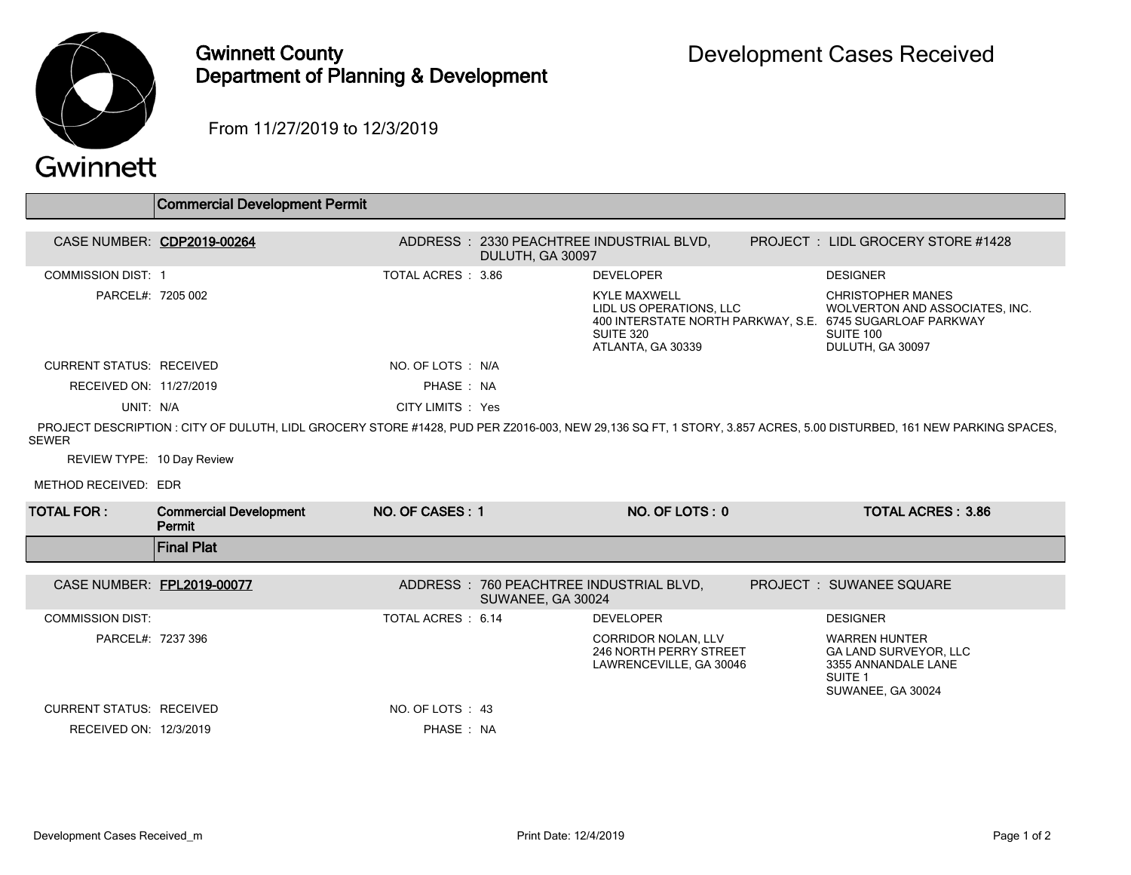

## Gwinnett County Department of Planning & Development

From 11/27/2019 to 12/3/2019

## Gwinnett

|                                 | Commercial Development Permit           |                   |                   |                                                                                  |                                                                                                                                                                   |
|---------------------------------|-----------------------------------------|-------------------|-------------------|----------------------------------------------------------------------------------|-------------------------------------------------------------------------------------------------------------------------------------------------------------------|
|                                 |                                         |                   |                   |                                                                                  |                                                                                                                                                                   |
|                                 | CASE NUMBER: CDP2019-00264              |                   | DULUTH, GA 30097  | ADDRESS: 2330 PEACHTREE INDUSTRIAL BLVD,                                         | PROJECT: LIDL GROCERY STORE #1428                                                                                                                                 |
| <b>COMMISSION DIST: 1</b>       |                                         | TOTAL ACRES: 3.86 |                   | <b>DEVELOPER</b>                                                                 | <b>DESIGNER</b>                                                                                                                                                   |
| PARCEL#: 7205 002               |                                         |                   |                   | <b>KYLE MAXWELL</b><br>LIDL US OPERATIONS, LLC<br>SUITE 320<br>ATLANTA, GA 30339 | <b>CHRISTOPHER MANES</b><br>WOLVERTON AND ASSOCIATES. INC.<br>400 INTERSTATE NORTH PARKWAY, S.E. 6745 SUGARLOAF PARKWAY<br>SUITE 100<br>DULUTH, GA 30097          |
| <b>CURRENT STATUS: RECEIVED</b> |                                         | NO. OF LOTS : N/A |                   |                                                                                  |                                                                                                                                                                   |
| RECEIVED ON: 11/27/2019         |                                         | PHASE: NA         |                   |                                                                                  |                                                                                                                                                                   |
| UNIT: N/A                       |                                         | CITY LIMITS : Yes |                   |                                                                                  |                                                                                                                                                                   |
| <b>SEWER</b>                    |                                         |                   |                   |                                                                                  | PROJECT DESCRIPTION: CITY OF DULUTH, LIDL GROCERY STORE #1428, PUD PER Z2016-003, NEW 29,136 SQ FT, 1 STORY, 3.857 ACRES, 5.00 DISTURBED, 161 NEW PARKING SPACES, |
| REVIEW TYPE: 10 Day Review      |                                         |                   |                   |                                                                                  |                                                                                                                                                                   |
| METHOD RECEIVED: EDR            |                                         |                   |                   |                                                                                  |                                                                                                                                                                   |
| TOTAL FOR :                     | <b>Commercial Development</b><br>Permit | NO. OF CASES: 1   |                   | NO. OF LOTS: 0                                                                   | <b>TOTAL ACRES: 3.86</b>                                                                                                                                          |
|                                 | <b>Final Plat</b>                       |                   |                   |                                                                                  |                                                                                                                                                                   |
| CASE NUMBER: FPL2019-00077      |                                         |                   | SUWANEE, GA 30024 | ADDRESS: 760 PEACHTREE INDUSTRIAL BLVD,                                          | <b>PROJECT : SUWANEE SQUARE</b>                                                                                                                                   |
| <b>COMMISSION DIST:</b>         |                                         | TOTAL ACRES: 6.14 |                   | <b>DEVELOPER</b>                                                                 | <b>DESIGNER</b>                                                                                                                                                   |
| PARCEL#: 7237 396               |                                         |                   |                   | <b>CORRIDOR NOLAN, LLV</b><br>246 NORTH PERRY STREET<br>LAWRENCEVILLE, GA 30046  | <b>WARREN HUNTER</b><br><b>GA LAND SURVEYOR, LLC</b><br>3355 ANNANDALE LANE<br>SUITE <sub>1</sub><br>SUWANEE, GA 30024                                            |
| <b>CURRENT STATUS: RECEIVED</b> |                                         |                   |                   |                                                                                  |                                                                                                                                                                   |
|                                 |                                         | NO. OF LOTS : 43  |                   |                                                                                  |                                                                                                                                                                   |